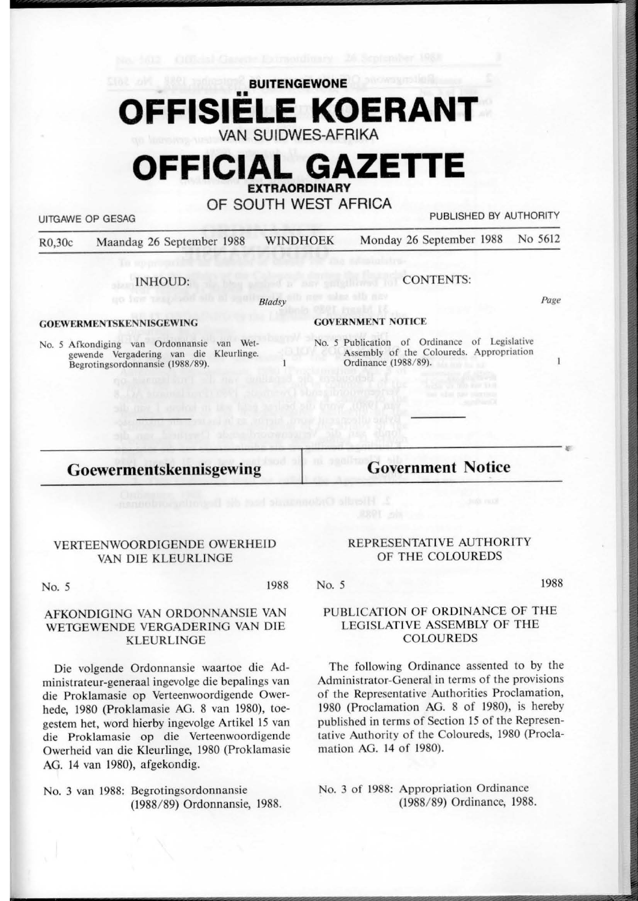## **BUITENGEWONE FFISIELE KOERANT VAN SUIDWES-AFRIKA**

# **OFFICIAL GAZETTE EXTRAORDINARY**

**OF SOUTH WEST AFRICA** 

UITGAWE OP GESAG PUBLISHED BY AUTHORITY

R0,30c Maandag 26 September 1988 WINDHOEK Monday 26 September 1988 No 5612

**Bladsv** 

INHOUD:

### **GOEWERMENTSKENNISGEWING**

No. *5* Afkondiging van Ordonnansie van Wetgewende Vergadering van die Kleurlinge. Begrotingsordonnansie (1988/89).

### **GOVERNMENT NOTICE**

No. 5 Publication of Ordinance of Legislative Assembly of the Coloureds. Appropriation Ordinance (1988/89).

CONTENTS:

## **Goewermentskennisgewing**

**Government Notice** 

#### VERTEENWOORDIGENDE OWERHEID VAN DIE KLEURLINGE

No. *5* 1988

#### AFKONDIGING VAN ORDONNANSIE VAN WETGEWENDE VERGADERING VAN DlE **KLEURLINGE**

Die volgende Ordonnansie waartoe die Administrateur-generaal ingevolge die bepalings van die Proklamasie op Verteenwoordigende Owerhede, 1980 (Proklamasie AG. 8 van 1980), toegestem het, word hierby ingevolge Artikel 15 van die Proklamasie op die Verteenwoordigende Owerheid van die Kleurlinge, 1980 (Proklamasie AG. 14 van 1980), afgekondig.

No. 3 van 1988: Begrotingsordonnansie (1988/ 89) Ordonnansie, 1988.

#### REPRESENTATIVE AUTHORITY OF THE COLOUREDS

No. 5

1988

*r* 

*Page* 

 $\mathbf{I}$ 

#### PUBLlCATION OF ORDINANCE OF THE LEGISLATIVE ASSEMBLY OF THE COLOUREDS

The following Ordinance assented to by the Administrator-General in terms of the provisions of the Representative Authorities Proclamation, 1980 (Proclamation AG. 8 of 1980), is hereby published in terms of Section 15 of the Representative Authority of the Coloureds, 1980 (Proclamation AG. 14 of 1980).

No. 3 of 1988: Appropriation Ordinance (1988/ 89) Ordinance, 1988.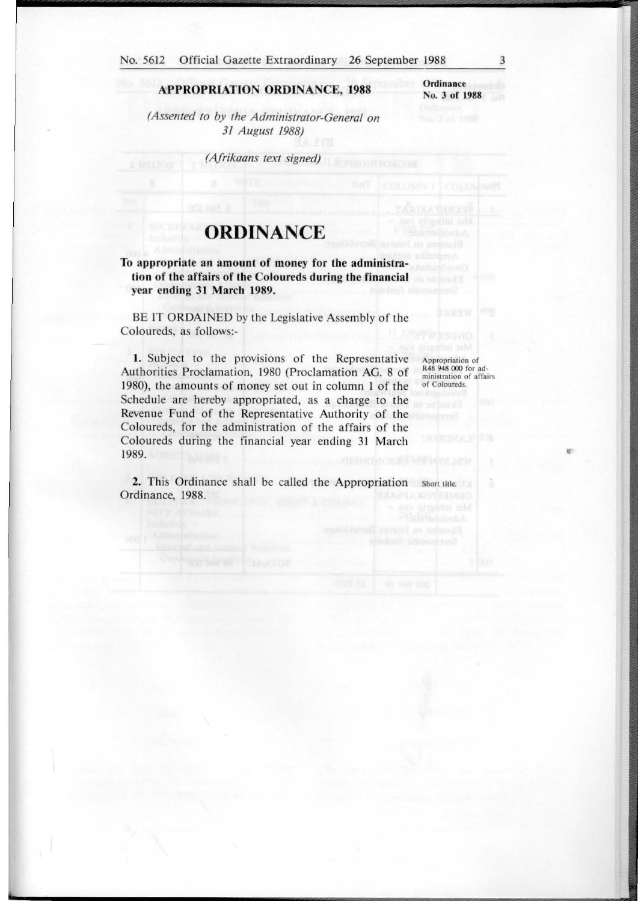#### **APPROPRIATION ORDINANCE, 1988**

**Ordinance**  No. 3 of 1988

*(Assented to by the Administrator-General on 31 August 1988)* 

*(Afrikaans text signed)* 

## **ORDINANCE**

#### **To appropriate an amount of money for the administration of the affairs of the Coloureds during the financial year ending 31 March 1989.**

BE IT ORDAINED by the Legislative Assembly of the Coloureds, as follows:-

1. Subject to the provisions of the Representative Authorities Proclamation, 1980 (Proclamation AG. 8 of 1980), the amounts of money set out in column 1 of the Schedule are hereby appropriated, as a charge to the Revenue Fund of the Representative Authority of the Coloureds, for the administration of the affairs of the Coloureds during the financial year ending 31 March 1989.

Appropriation of R48 948 000 for administration of affairs of Coloureds.

ă

**r:** 

2. This Ordinance shall be called the Appropriation Short title. Ordinance, 1988.